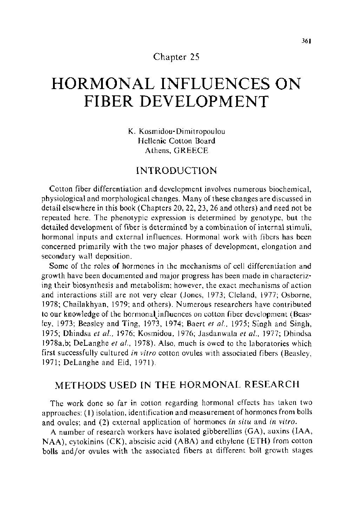# Chapter 25

# **HORMONAL INFLUENCES ON FIBER DEVELOPMENT**

K. Kosmidou-Dimitropoulou Hellenic Cotton Board Athens, GREECE

## INTRODUCTION

Cotton fiber differentiation and development involves numerous biochemical, physiological and morphological changes. Many of these changes are discussed in detail elsewhere in this book (Chapters 20, 22, 23, 26 and others) and need not be repeated here. The phenotypic expression is determined by genotype, but the detailed development of fiber is determined by a combination of internal stimuli, hormonal inputs and external influences. Hormonal work with fibers has been concerned primarily with the two major phases of development, elongation and secondary wall deposition.

Some of the roles of hormones in the mechanisms of cell differentiation and growth have been documented and major progress has been made in characterizing their biosynthesis and metabolism; however, the exact mechanisms of action and interactions still are not very clear (Jones, 1973; Cleland, !977; Osborne, 1978; Chailakhyan, 1979; and others). Numerous researchers have contributed to our knowledge of the hormonal influences on cotton fiber development (Beasley, 1973; Beasley and Ting, 1973, 1974; Baert *et al.*, 1975; Singh and Singh, 1975; Dhindsa *eta/.,* 1976; Kosmidou, 1976; Jasdanwala *eta!.,* 1977; Dhindsa 1978a,b; DeLanghe *et al.*, 1978). Also, much is owed to the laboratories which first successfully cultured *in vitro* cotton ovules with associated fibers (Beasley, 1971; DeLanghe and Eid, 1971 ).

# METHODS USED IN THE HORMONAL RESEARCH

The work done so far in cotton regarding hormonal effects has taken two approaches: (I) isolation, identification and measurement of hormones from bolls and ovules; and (2) external application of hormones *in situ* and *in vitro.* 

A number of research workers have isolated gibberellins (GA), auxins (IAA, NAA), cytokinins (CK), abscisic acid (ABA) and ethylene (ETH) from cotton bolls and/or ovules with the associated fibers at different boll growth stages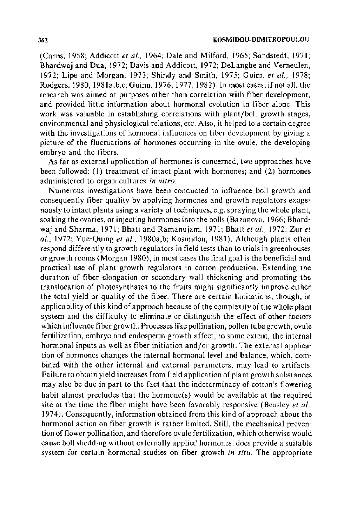(Carns, 1958; Addicott *et a!.,* 1964; Dale and Milford, 1965; Sandstedt, 1971; Bhardwaj and Dua, 1972; Davis and Addicott, 1972; DeLanghe and Verneulen, 1972; Lipe and Morgan, 1973; Shindy and Smith, 1975; Guinn *eta!.,* 1978; Rodgers, 1980, 1981 a,b,c; Guinn, 1976, 1977, 1982). In most cases, if not all, the research was aimed at purposes other than correlation with fiber development, and provided little information about hormonal evolution in fiber alone. This work was valuable in establishing correlations with plant/boll growth stages, environmental and physiological relations, etc. Also, it helped to a certain degree with the investigations of hormonal influences on fiber development by giving a picture of the fluctuations of hormones occurring in the ovule, the developing embryo and the fibers.

As far as external application of hormones is concerned, two approaches have been followed: (1) treatment of intact plant with hormones; and (2) hormones administered to organ cultures *in vitro.* 

Numerous investigations have been conducted to influence boll growth and consequently fiber quality by applying hormones and growth regulators exogenously to intact plants using a variety of techniques, e.g. spraying the whole plant, soaking the ovaries, or injecting hormones into the bolls (Bazanova, 1966; Bhardwaj and Sharma, 1971; Bhatt and Ramanujam, 1971; Bhatt *et a!.,* 1972; Zur *et a!.,* 1972; Yue-Quing *eta/.,* 1980a,b; Kosmidou, 1981). Although plants often respond differently to growth regulators in field tests than to trials in greenhouses or growth rooms (Morgan 1980), in most cases the final goal is the beneficial and practical use of plant growth regulators in cotton production. Extending the duration of fiber elongation or secondary wall thickening and promoting the translocation of photosynthates to the fruits might significantly improve either the total yield or quality of the fiber. There are certain limitations, though, in applicability of this kind of approach because of the complexity of the whole plant system and the difficulty to eliminate or distinguish the effect of other factors which influence fiber growth. Processes like pollination, pollen tube growth, ovule fertilization, embryo and endosperm growth affect, to some extent, the internal hormonal inputs as well as fiber initiation and/or growth. The external application of hormones changes the internal hormonal level and balance, which, combined with the other internal and external parameters, may lead to artifacts. Failure to obtain yield increases from field application of plant growth substances may also be due in part to the fact that the indeterminacy of cotton's flowering habit almost precludes that the hormone(s) would be available at the required site at the time the fiber might have been favorably responsive (Beasley *et a! ..*  1974). Consequently, information obtained from this kind of approach about the hormonal action on fiber growth is rather limited. Still, the mechanical prevention of flower pollination, and therefore ovule fertilization, which otherwise would cause boll shedding without externally applied hormones, does provide a suitable system for certain hormonal studies on fiber growth *in situ.* The appropriate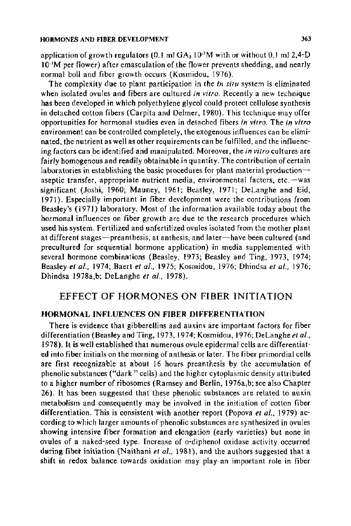application of growth regulators (0.1 ml  $\rm GA_3$  10  $^{\circ}$ M with or without 0.1 ml 2,4-D  $10<sup>3</sup>M$  per flower) after emasculation of the flower prevents shedding, and nearly normal boll and fiber growth occurs (Kosmidou, 1976).

The complexity due to plant participation in the *in situ* system is eliminated when isolated ovules and fibers are cultured *in vitro.* Recently a new technique has been developed in which polyethylene glycol could protect cellulose synthesis in detached cotton fibers (Carpita and Delmer, 1980). This technique may offer opportunities for hormonal studies even in detached fibers *in vitro.* The *in vitro*  environment can be controlled completely, the exogenous influences can be eliminated, the nutrient as well as other requirements can be fulfilled, and the influencing factors can be identified and manipulated. Moreover, the *in vitro* cultures are fairly homogenous and readily obtainable in quantity. The contribution of certain laboratories in establishing the basic procedures for plant material productionaseptic transfer, appropriate nutrient media, environmental factors, etc.--was significant (Joshi, 1960; Mauney, 1961; Beasley, 1971; DeLanghe and Eid, 1971). Especially important in fiber development were the contributions from Beasley's (1971) laboratory. Most of the information available today about the hormonal influences on fiber growth are due to the research procedures which used his system. Fertilized and unfertilized ovules isolated from the mother plant at different stages-preanthesis, at anthesis, and later-have been cultured (and precultured for sequential hormone application) in media supplemented with several hormone combinations (Beasley, 1973; Beasley and Ting, 1973, I974; Beasley *et al.*, 1974; Baert *et al.*, 1975; Kosmidou, 1976; Dhindsa *et al.*, 1976; Dhindsa 1978a,b; DeLanghe *et a/.,* 1978).

# EFFECT OF HORMONES ON FIBER INITIATION

## HORMONAL INFLUENCES ON FIBER DIFFERENTIATION

There is evidence that gibberellins and auxins are important factors for fiber differentiation (Beasley and Ting, 1973, 1974; Kosmidou, 1976; DeLanghe *eta/.,*  1978). It is well established that numerous ovule epidermal cells are differentiated into fiber initials on the morning of anthesis or later. The fiber primordial cells are first recognizable at about 16 hours preanthesis by the accumulation of phenolic substances ("dark" cells) and the higher cytoplasmic density attributed to a higher number of ribosomes (Ramsey and Berlin, 1976a,b; see also Chapter 26). It has been suggested that these phenolic substances are related to auxin metabolism and consequently may be involved in the initiation of cotton fiber differentiation. This is consistent with another report (Popova *et a/.,* 1979) according to which larger amounts of phenolic substances are synthesized in ovules showing intensive fiber formation and elongation (early varieties) but none in ovules of a naked-seed type. Increase of o-diphenol oxidase activity occurred during fiber initiation (Naithani et al., 1981), and the authors suggested that a shift in redox balance towards oxidation may play an important role in fiber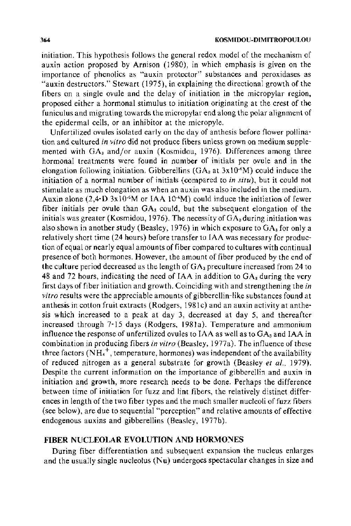initiation. This hypothesis follows the general redox model of the mechanism of auxin action proposed by Arnison ( 1980), in which emphasis is given on the importance of phenolics as "auxin protector" substances and peroxidases as "auxin destructors." Stewart  $(1975)$ , in explaining the directional growth of the fibers on a single ovule and the delay of initiation in the micropylar region, proposed either a hormonal stimulus to initiation originating at the crest of the funiculus and migrating towards the micropylar end along the polar alignment of the epidermal cells, or an inhibitor at the micropyle.

Unfertilized ovules isolated early on the day of anthesis before flower pollination and cultured *in vitro* did not produce fibers unless grown on medium supplemented with GA<sub>3</sub> and/or auxin (Kosmidou, 1976). Differences among three hormonal treatments were found in number of initials per ovule and in the elongation following initiation. Gibberellins  $(GA<sub>s</sub> at 3x10<sup>-6</sup>M)$  could induce the initiation of a normal number of initials (compared to *in situ),* but it could not stimulate as much elongation as when an auxin was also included in the medium. Auxin alone  $(2,4-D \ 3x10^{-6}M)$  or IAA 10<sup>-6</sup>M) could induce the initiation of fewer fiber initials per ovule than  $GA<sub>3</sub>$  could, but the subsequent elongation of the initials was greater (Kosmidou, 1976). The necessity of  $GA<sub>a</sub>$  during initiation was also shown in another study (Beasley, 1976) in which exposure to  $GA<sub>a</sub>$  for only a relatively short time (24 hours) before transfer to IAA was necessary for production of equal or nearly equal amounts of fiber compared to cultures with continual presence of both hormones. However, the amount of fiber produced by the end of the culture period decreased as the length of  $GA_3$  preculture increased from 24 to 48 and 72 hours, indicating the need of IAA in addition to  $GA_3$  during the very first days of fiber initiation and growth. Coinciding with and strengthening the *in vitro* results were the appreciable amounts of gibberellin-like substances found at an thesis in cotton fruit extracts (Rodgers, 1981c) and an auxin activity at an thesis which increased to a peak at day 3, decreased at day 5, and thereafter increased through 7-15 days (Rodgers, 1981a). Temperature and ammonium influence the response of unfertilized ovules to IAA as well as to  $GA_3$  and IAA in combination in producing fibers *in vitro* (Beasley, 1977a). The influence of these three factors  $(NH_4^+$ , temperature, hormones) was independent of the availability of reduced nitrogen as a general substrate for growth (Beasley *et a!.,* 1979). Despite the current information on the importance of gibberellin and auxin in initiation and growth, more research needs to be done. Perhaps the difference between time of initiation for fuzz and lint fibers, the relatively distinct differences in length of the two fiber types and the much smaller nucleoli of fuzz fibers (see below), are due to sequential "perception" and relative amounts of effective endogenous auxins and gibberellins (Beasley, l977b).

## FIBER NUCLEOLAR EVOLUTION AND HORMONES

During fiber differentiation and subsequent expansion the nucleus enlarges and the usually single nucleolus (Nu) undergoes spectacular changes in size and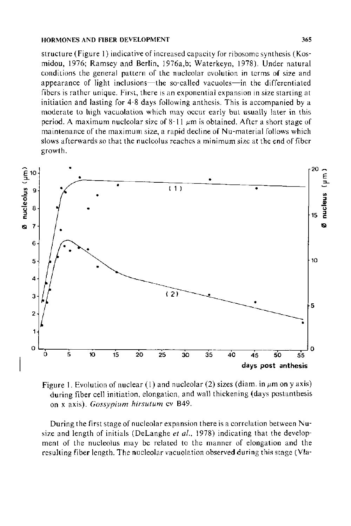structure (Figure I) indicative of increased capacity for ribosome synthesis (Kosmidou, 1976; Ramsey and Berlin, 1976a,b; Waterkeyn, 1978). Under natural conditions the general pattern of the nucleolar evolution in terms of size and appearance of light inclusions—the so-called vacuoles—in the differentiated fibers is rather unique. First, there is an exponential expansion in size starting at initiation and lasting for 4-8 days following anthesis. This is accompanied by a moderate to high vacuolation which may occur early but usually later in this period. A maximum nucleolar size of 8-11  $\mu$ m is obtained. After a short stage of maintenance of the maximum size, a rapid decline of Nu-material follows which slows afterwards so that the nucleolus reaches a minimum size at the end of fiber growth .



Figure 1. Evolution of nuclear (1) and nucleolar (2) sizes (diam. in  $\mu$ m on y axis) during fiber cell initiation, elongation, and wall thickening (days postanthesis on x axis). *Gossypium hirsutum* cv B49.

During the first stage of nucleolar expansion there is a correlation between Nusize and length of initials (DeLanghe et al., 1978) indicating that the development of the nucleolus may be related to the manner of elongation and the resulting fiber length. The nucleolar vacuolation observed during this stage (VIa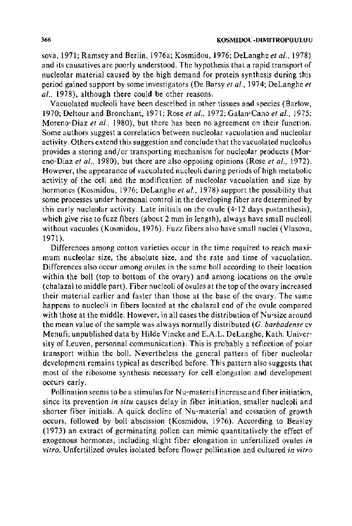sova, 1971; Ramsey and Berlin, 1976a; Kosmidou, 1976; DeLanghe *eta/.,* 1978) and its causatives are poorly understood. The hypothesis that a rapid transport of nucleolar material caused by the high demand for protein synthesis during this period gained support by some investigators (De Barsy *eta/.,* 1974; DeLanghe *et a/.,* 1978), although there could be other reasons.

Vacuolated nucleoli have been described in other tissues and species (Barlow, 1970; De !tour and Bronchant, 1971; Rose *et a/.,* 1972; Galan-Cano *et a/.,* 197 5; Moreno-Diaz *et a/.,* 1980), but there has been no agreement on their function. Some authors suggest a correlation between nucleolar vacuolation and nucleolar activity. Others extend this suggestion and conclude that the vacuolated nucleolus provides a storing and/or transporting mechanism for nucleolar products (Moreno-Diaz *et a/.,* 1980), but there are also opposing opinions (Rose *et a/.,* 1972). However, the appearance of vacuolated nucleoli during periods of high metabolic activity of the cell and the modification of nucleolar vacuolation and size by hormones (Kosmidou, 1976; DeLanghe et al., 1978) support the possibility that some processes under hormonal control in the developing fiber are determined by this early nucleolar activity. Late initials on the ovule ( 4-12 days postanthesis), which give rise to fuzz fibers (about 2 mm in length), always have small nucleoli without vacuoles (Kosmidou, 1976). Fuzz fibers also have small nuclei (Vlasova, 1971 ).

Differences among cotton varieties occur in the time required to reach maximum nucleolar size, the absolute size, and the rate and time of vacuolation. Differences also occur among ovules in the same boll according to their location within the boll (top to bottom of the ovary) and among locations on the ovule (chalaza! to middle part). Fiber nucleoli of ovules at the top of the ovary increased their material earlier and faster than those at the base of the ovary. The same happens to nucleoli in fibers located at the chalazal end of the ovule compared with those at the middle. However, in all cases the distribution of Nu-size around the mean value of the sample was always normally distributed (G. *barbadense* cv Menufi; unpublished data by Hilde Vincke and E.A.L. DeLanghe, Kath. University of Leuven, personnal communication). This is probably a reflection of polar transport within the boll. Nevertheless the general pattern of fiber nucleolar development remains typical as described before. This pattern also suggests that most of the ribosome synthesis necessary for cell elongation and development occurs early.

Pollination seems to be a stimulus for Nu-material increase and fiber initiation, since its prevention *in situ* causes delay in fiber initiation, smaller nucleoli and shorter fiber initials. A quick decline of Nu-material and cessation of growth occurs, followed by boll abscission (Kosmidou, 1976). According to Beasley (1973) an extract of germinating pollen can mimic quantitatively the effect of exogenous hormones, including slight fiber elongation in unfertilized ovules *in vitro.* Unfertilized ovules isolated before flower pollination and cultured *in vitro*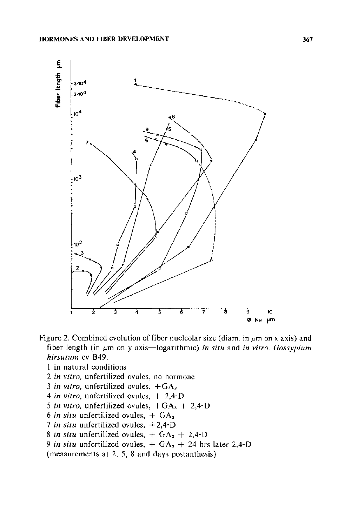

Figure 2. Combined evolution of fiber nucleolar size (diam. in  $\mu$ m on x axis) and fiber length (in  $\mu$ m on y axis—logarithmic) *in situ* and *in vitro. Gossypium hirsutum* cv B49.

- 1 in natural conditions
- 2 *in vitro,* unfertilized ovules, no hormone
- 3 *in vitro*, unfertilized ovules,  $+GA_3$
- 4 *in vitro,* unfertilized ovules, + 2,4-D
- 5 *in vitro*, unfertilized ovules,  $+GA_3 + 2,4-D$
- 6 in situ unfertilized ovules,  $+$  GA<sub>3</sub>
- 7 *in situ* unfertilized ovules, + 2,4-D
- 8 *in situ* unfertilized ovules,  $+ GA<sub>3</sub> + 2,4-D$
- 9 in situ unfertilized ovules, + GA<sub>3</sub> + 24 hrs later 2,4-D

(measurements at 2, 5, 8 and days postanthesis)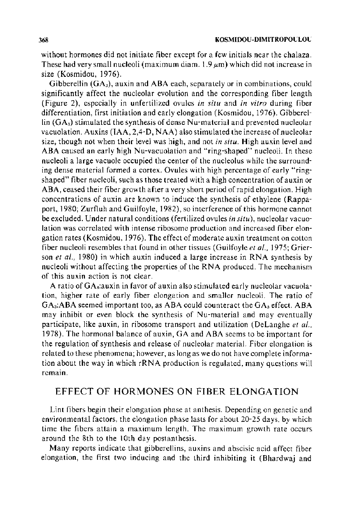without hormones did not initiate fiber except for a few initials near the chalaza. These had very small nucleoli (maximum diam.  $1.9 \,\mu$ m) which did not increase in size (Kosmidou, 1976).

Gibberellin  $(GA<sub>3</sub>)$ , auxin and ABA each, separately or in combinations, could significantly affect the nucleolar evolution and the corresponding fiber length (Figure 2), especially in unfertilized ovules *in situ* and *in vitro* during fiber differentiation, first initiation and early elongation (Kosmidou, 1976). Gibberellin  $(GA<sub>a</sub>)$  stimulated the synthesis of dense Nu-material and prevented nucleolar vacuolation. Auxins (IAA,  $2,4$ -D, NAA) also stimulated the increase of nucleolar size, though not when their level was high, and not *in situ.* High auxin level and ABA caused an early high Nu-vacuolation and "ring-shaped" nucleoli. In these nucleoli a large vacuole occupied the center of the nucleolus while the surrounding dense material formed a cortex. Ovules with high percentage of early "ringshaped" fiber nucleoli, such as those treated with a high concentration of auxin or ABA, ceased their fiber growth after a very short period of rapid elongation. High concentrations of auxin are known to induce the synthesis of ethylene (Rappaport, 1980; Zurfluh and Guilfoyle, 1982), so interference of this hormone cannot be excluded. Under natural conditions (fertilized ovules *in situ),* nucleolar vacuolation was correlated with intense ribosome production and increased fiber elongation rates (Kosmidou, 1976). The effect of moderate auxin treatment on cotton fiber nucleoli resembles that found in other tissues (Guilfoyle *et al.,* 1975; Grierson *et al.*, 1980) in which auxin induced a large increase in RNA synthesis by nucleoli without affecting the properties of the RNA produced. The mechanism of this auxin action is not clear.

A ratio of GAs:auxin in favor of auxin also stimulated early nucleolar vacuolation, higher rate of early fiber elongation and smaller nucleoli. The ratio of  $GA_3:ABA$  seemed important too, as ABA could counteract the  $GA_3$  effect. ABA may inhibit or even block the synthesis of Nu-material and may eventually participate, like auxin, in ribosome transport and utilization (DeLanghe *et al ..*  1978). The hormonal balance of auxin, GA and ABA seems to be important for the regulation of synthesis and release of nucleolar material. Fiber elongation is related to these phenomena; however, as long as we do not have complete information about the way in which rRNA production is regulated, many questions will remain.

# EFFECT OF HORMONES ON FIBER ELONGATION

Lint fibers begin their elongation phase at anthesis. Depending on genetic and environmental factors, the elongation phase lasts for about 20-25 days, by which time the fibers attain a maximum length. The maximum growth rate occurs around the 8th to the 1Oth day postanthesis.

Many reports indicate that gibberellins, auxins and abscisic acid affect fiber elongation, the first two inducing and the third inhibiting it (Bhardwaj and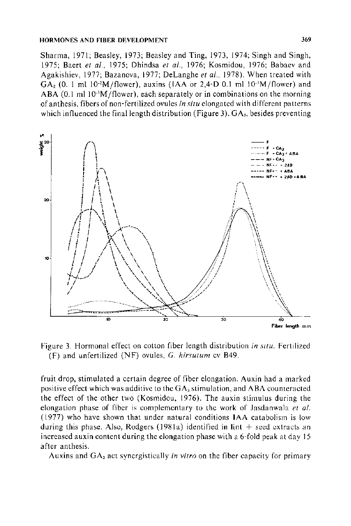Sharma, 1971; Beasley, 1973; Beasley and Ting, 1973, 1974; Singh and Singh, 1975; Baert et al., 1975; Dhindsa et al., 1976; Kosmidou, 1976; Babaev and Agakishiev, 1977; Bazanova, 1977; DeLanghe et al., 1978). When treated with  $GA<sub>8</sub>$  (0. 1 ml 10<sup>-2</sup>M/flower), auxins (IAA or 2,4-D 0.1 ml 10<sup>-3</sup>M/flower) and ABA  $(0.1 \text{ ml } 10^{-3} \text{M/flower})$ , each separately or in combinations on the morning of anthesis, fibers of non-fertilized ovules in situ clongated with different patterns which influenced the final length distribution (Figure 3).  $GA<sub>a</sub>$ , besides preventing



Figure 3. Hormonal effect on cotton fiber length distribution in situ. Fertilized  $(F)$  and unfertilized (NF) ovules, G. hirsutum cv B49.

fruit drop, stimulated a certain degree of fiber elongation. Auxin had a marked positive effect which was additive to the GA<sub>3</sub> stimulation, and ABA counteracted the effect of the other two (Kosmidou, 1976). The auxin stimulus during the elongation phase of fiber is complementary to the work of Jasdanwala et al. (1977) who have shown that under natural conditions IAA catabolism is low during this phase. Also, Rodgers  $(1981a)$  identified in lint  $+$  seed extracts an increased auxin content during the elongation phase with a 6-fold peak at day 15 after anthesis.

Auxins and GA<sub>3</sub> act synergistically in vitro on the fiber capacity for primary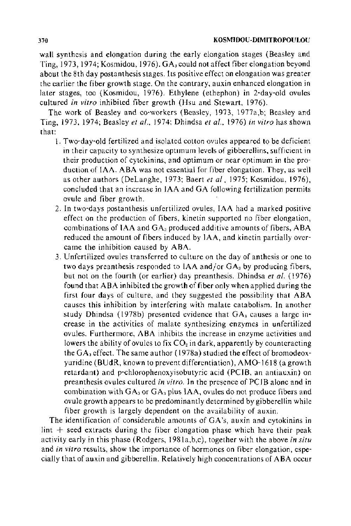wall synthesis and elongation during the early elongation stages (Beasley and Ting, 1973, 1974; Kosmidou, 1976).  $GA_3$  could not affect fiber elongation beyond about the 8th day postanthesis stages. Its positive effect on elongation was greater the earlier the fiber growth stage. On the contrary, auxin enhanced elongation in later stages, too (Kosmidou, 1976). Ethylene (ethephon) in 2-day-old ovules cultured *in vitro* inhibited fiber growth (Hsu and Stewart, 1976).

The work of Beasley and co-workers (Beasley, 1973, 1977a,b; Beasley and Ting, 1973, 1974; Beasley *et a!.,* 1974; Dhindsa *et al.,* 1976) *in vitro* has shown that:

- 1. Two-day-old fertilized and isolated cotton ovules appeared to be deficient in their capacity to synthesize optimum levels of gibberellins, sufficient in their production of cytokinins, and optimum or near optimum in the production of lAA. ABA was not essential for fiber elongation. They, as well as other authors (Delanghe, 1973; Baert *et a!,* 1975; Kosmidou, 1976), concluded that an increase in IAA and GA following fertilization permits ovule and fiber growth.
- 2. In two-days postanthesis unfertilized ovules, IAA had a marked positive effect on the production of fibers, kinetin supported no fiber elongation, combinations of IAA and  $GA_3$  produced additive amounts of fibers, ABA reduced the amount of fibers induced by IAA, and kinetin partially overcame the inhibition caused by ABA.
- 3. Unfertilized ovules transferred to culture on the day of anthesis or one to two days preanthesis responded to  $IAA$  and/or  $GA_3$  by producing fibers, but not on the fourth (or earlier) day preanthesis. Dhindsa *et al.* (1976) found that ABA inhibited the growth of fiber only when applied during the first four days of culture, and they suggested the possibility that ABA causes this inhibition by interfering with malate catabolism. In another study Dhindsa (1978b) presented evidence that  $GA_3$  causes a large increase in the activities of malate synthesizing enzymes in unfertilized ovules. Furthermore, ABA inhibits the increase in enzyme activities and lowers the ability of ovules to fix  $CO<sub>2</sub>$  in dark, apparently by counteracting the  $GA_3$  effect. The same author (1978a) studied the effect of bromodeoxyuridine (BUdR, known to prevent differentiation}, AM0-1618 (a growth retardant) and p-chlorophenoxyisobutyric acid (PCIB, an antiauxin) on preanthesis ovules cultured *in vitro.* In the presence of PCJB alone and in combination with  $GA_3$  or  $GA_3$  plus IAA, ovules do not produce fibers and ovule growth appears to be predominantly determined by gibberellin while fiber growth is largely dependent on the availability of auxin.

The identification of considerable amounts of GA's, auxin and cytokinins in lint  $+$  seed extracts during the fiber elongation phase which have their peak activity early in this phase (Rodgers, 1981 a,b,c), together with the above *in situ*  and *in vitro* results, show the importance of hormones on fiber elongation, espe· cially that of auxin and gibberellin. Relatively high concentrations of ABA occur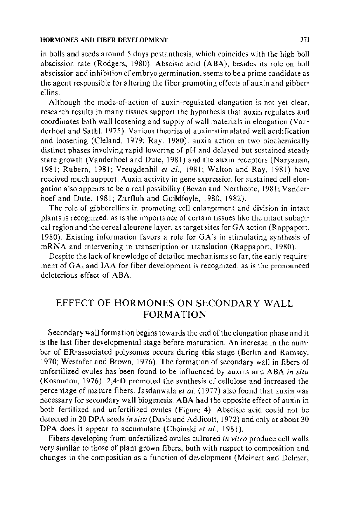in bolls and seeds around 5 days postanthesis, which coincides with the high boll abscission rate (Rodgers, 1980). Abscisic acid (ABA), besides its role on boll abscission and inhibition of embryo germination, seems to be a prime candidate as the agent responsible for altering the fiber promoting effects of auxin and gibberellins.

Although the mode-of-action of auxin-regulated elongation is not yet clear, research results in many tissues support the hypothesis that auxin regulates and coordinates both wall loosening and supply of wall materials in elongation (Vanderhoef and Sathl, 1975). Various theories of auxin-stimulated wall acidification and loosening (Cleland, 1979; Ray, 1980), auxin action in two biochemically distinct phases involving rapid lowering of pH and delayed but sustained steady state growth (Vanderhoel and Dute, 1981) and the auxin receptors (Naryanan, 1981; Rubern, 1981; Vreugdenhil *eta!.,* 1981; Walton and Ray, 1981) have received much support. Auxin activity in gene expression for sustained cell elongation also appears to be a real possibility (Bevan and Northcote, 1981; Vanderhoef and Dute, 1981; Zurfluh and Guildfoyle, 1980, 1982).

The role of gibberellins in promoting cell enlargement and division in intact plants is recognized, as is the importance of certain tissues like the intact subapical region and the cereal aleurone layer, as target sites for GA action (Rappaport, 1980). Existing information favors a role for GA 's in stimulating synthesis of mRNA and intervening in transcription or translation (Rappaport, 1980).

Despite the lack of knowledge of detailed mechanisms so far, the early requirement of  $GA_3$  and IAA for fiber development is recognized, as is the pronounced deleterious effect of ABA.

# EFFECT OF HORMONES ON SECONDARY WALL FORMATION

Secondary wall formation begins towards the end of the elongation phase and it is the last fiber developmental stage before maturation. An increase in the number of ER-associated polysomes occurs during this stage (Berlin and Ramsey, 1970; Westafer and Brown, 1976). The formation of secondary wall in fibers of unfertilized ovules has been found to be influenced by auxins and ABA *in situ*  (Kosmidou, 1976). 2,4-D promoted the synthesis of cellulose and increased the percentage of mature fibers. Jasdanwala et al. (1977) also found that auxin was necessary for secondary wall biogenesis. ABA had the opposite effect of auxin in both fertilized and unfertilized ovules (Figure 4). Abscisic acid could not be detected in 20 DPA seeds *in situ* (Davis and Addicott, 1972) and only at about 30 DPA does it appear to accumulate (Choinski et al., 1981).

Fibers developing from unfertilized ovules cultured *in vitro* produce cell walls very similar to those of plant grown fibers, both with respect to composition and changes in the composition as a function of development (Meinert and Delmer,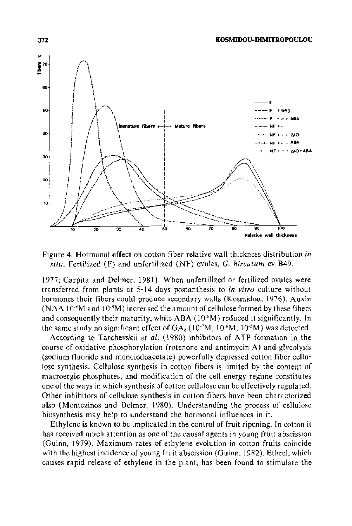

372

Figure 4. Hormonal effect on cotton fiber relative wall thickness distribution in situ. Fertilized (F) and unfertilized (NF) ovules, G. hirsutum cv B49.

1977; Carpita and Delmer, 1981). When unfertilized or fertilized ovules were transferred from plants at 5-14 days postanthesis to *in vitro* culture without hormones their fibers could produce secondary walls (Kosmidou, 1976). Auxin (NAA 10<sup>-5</sup>M and 10<sup>-5</sup>M) increased the amount of cellulose formed by these fibers and consequently their maturity, while ABA (10<sup>-6</sup>M) reduced it significantly. In the same study no significant effect of  $GA_3(10^3M, 10^6M, 10^5M)$  was detected.

According to Tarchevskii et al. (1980) inhibitors of ATP formation in the course of oxidative phosphorylation (rotenone and antimycin A) and glycolysis (sodium fluoride and monoiodoacetate) powerfully depressed cotton fiber cellulose synthesis. Cellulose synthesis in cotton fibers is limited by the content of macroergic phosphates, and modification of the cell energy regime constitutes one of the ways in which synthesis of cotton cellulose can be effectively regulated. Other inhibitors of cellulose synthesis in cotton fibers have been characterized also (Montezinos and Delmer, 1980). Understanding the process of cellulose biosynthesis may help to understand the hormonal influences in it.

Ethylene is known to be implicated in the control of fruit ripening. In cotton it has received much attention as one of the causal agents in young fruit abscission (Guinn, 1979). Maximum rates of ethylene evolution in cotton fruits coincide with the highest incidence of young fruit abscission (Guinn, 1982). Ethrel, which causes rapid release of ethylene in the plant, has been found to stimulate the